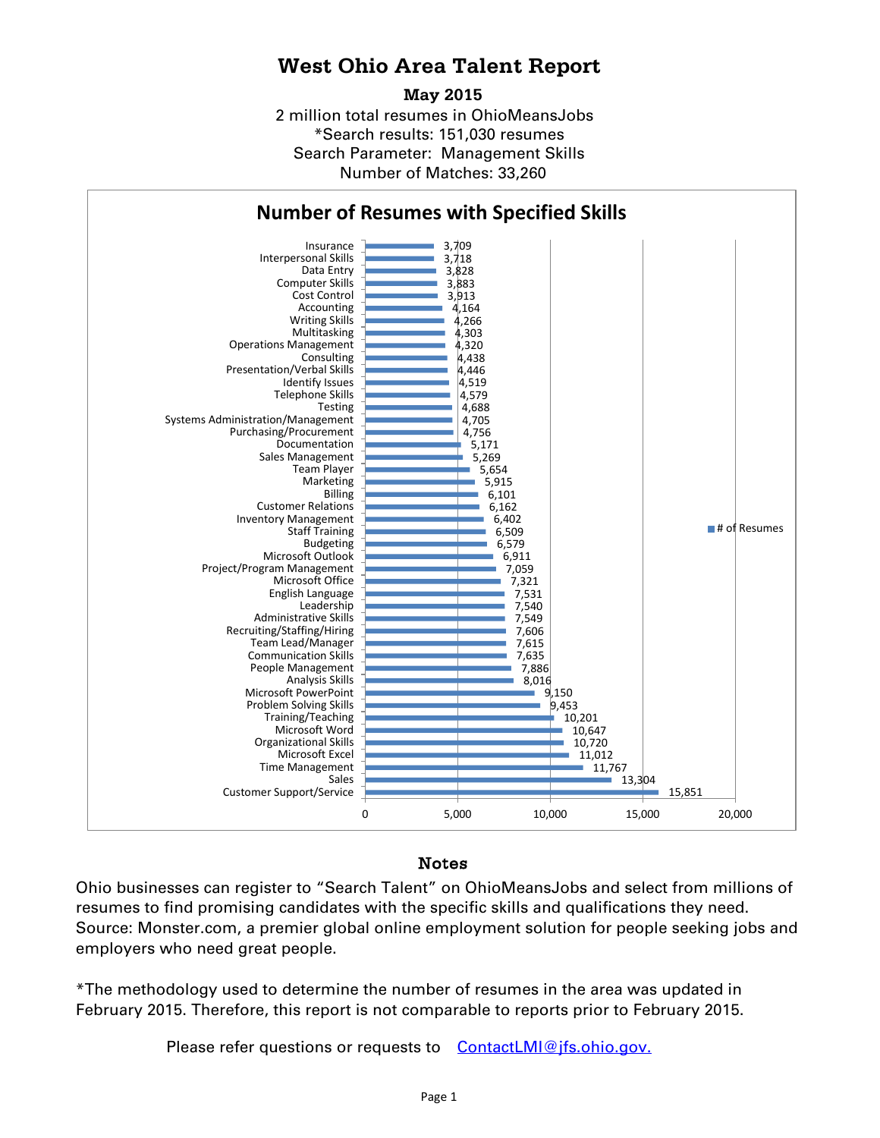## **West Ohio Area Talent Report**

### **May 2015**

2 million total resumes in OhioMeansJobs \*Search results: 151,030 resumes Number of Matches: 33,260 Search Parameter: Management Skills



## Notes

Ohio businesses can register to "Search Talent" on OhioMeansJobs and select from millions of resumes to find promising candidates with the specific skills and qualifications they need. Source: Monster.com, a premier global online employment solution for people seeking jobs and employers who need great people.

\*The methodology used to determine the number of resumes in the area was updated in February 2015. Therefore, this report is not comparable to reports prior to February 2015.

Please refer questions or requests to [ContactLMI@jfs.ohio.gov.](mailto:ContactLMI@jfs.ohio.gov.)